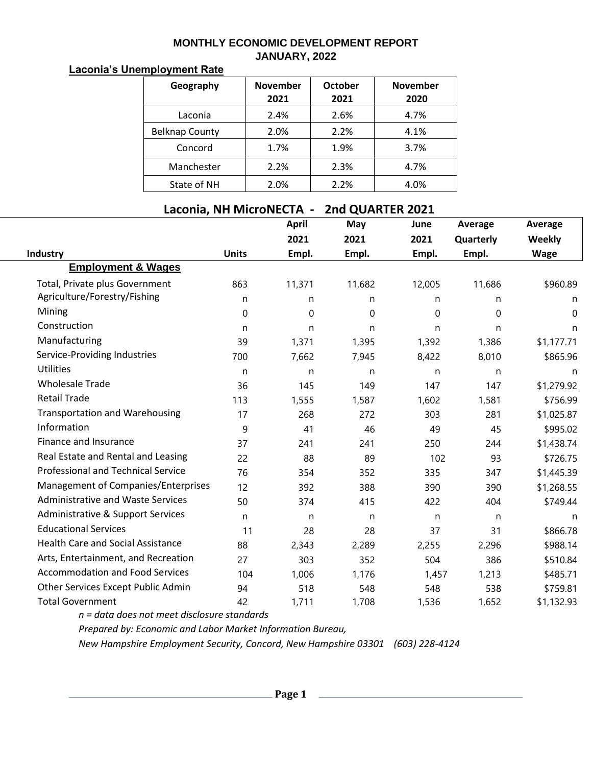## **MONTHLY ECONOMIC DEVELOPMENT REPORT JANUARY, 2022**

## **Laconia's Unemployment Rate**

| Geography             | <b>November</b><br>2021 | <b>October</b><br>2021 | <b>November</b><br>2020 |
|-----------------------|-------------------------|------------------------|-------------------------|
| Laconia               | 2.4%                    | 2.6%                   | 4.7%                    |
| <b>Belknap County</b> | 2.0%                    | 2.2%                   | 4.1%                    |
| Concord               | 1.7%                    | 1.9%                   | 3.7%                    |
| Manchester            | 2.2%                    | 2.3%                   | 4.7%                    |
| State of NH           | 2.0%                    | 2.2%                   | 4.0%                    |

## **Laconia, NH MicroNECTA - 2nd QUARTER 2021**

|                                           |              | <b>April</b> | May    | June        | Average     | Average       |
|-------------------------------------------|--------------|--------------|--------|-------------|-------------|---------------|
|                                           |              | 2021         | 2021   | 2021        | Quarterly   | <b>Weekly</b> |
| Industry                                  | <b>Units</b> | Empl.        | Empl.  | Empl.       | Empl.       | <b>Wage</b>   |
| <b>Employment &amp; Wages</b>             |              |              |        |             |             |               |
| Total, Private plus Government            | 863          | 11,371       | 11,682 | 12,005      | 11,686      | \$960.89      |
| Agriculture/Forestry/Fishing              | n.           | n            | n      | n           | n           | n             |
| Mining                                    | $\mathbf 0$  | 0            | 0      | $\mathbf 0$ | $\mathbf 0$ | 0             |
| Construction                              | n            | n            | n      | n           | n           | n             |
| Manufacturing                             | 39           | 1,371        | 1,395  | 1,392       | 1,386       | \$1,177.71    |
| Service-Providing Industries              | 700          | 7,662        | 7,945  | 8,422       | 8,010       | \$865.96      |
| <b>Utilities</b>                          | n            | n            | n      | n           | n           | n             |
| <b>Wholesale Trade</b>                    | 36           | 145          | 149    | 147         | 147         | \$1,279.92    |
| <b>Retail Trade</b>                       | 113          | 1,555        | 1,587  | 1,602       | 1,581       | \$756.99      |
| <b>Transportation and Warehousing</b>     | 17           | 268          | 272    | 303         | 281         | \$1,025.87    |
| Information                               | 9            | 41           | 46     | 49          | 45          | \$995.02      |
| Finance and Insurance                     | 37           | 241          | 241    | 250         | 244         | \$1,438.74    |
| Real Estate and Rental and Leasing        | 22           | 88           | 89     | 102         | 93          | \$726.75      |
| <b>Professional and Technical Service</b> | 76           | 354          | 352    | 335         | 347         | \$1,445.39    |
| Management of Companies/Enterprises       | 12           | 392          | 388    | 390         | 390         | \$1,268.55    |
| <b>Administrative and Waste Services</b>  | 50           | 374          | 415    | 422         | 404         | \$749.44      |
| Administrative & Support Services         | n            | n            | n      | n           | n           | n             |
| <b>Educational Services</b>               | 11           | 28           | 28     | 37          | 31          | \$866.78      |
| <b>Health Care and Social Assistance</b>  | 88           | 2,343        | 2,289  | 2,255       | 2,296       | \$988.14      |
| Arts, Entertainment, and Recreation       | 27           | 303          | 352    | 504         | 386         | \$510.84      |
| <b>Accommodation and Food Services</b>    | 104          | 1,006        | 1,176  | 1,457       | 1,213       | \$485.71      |
| Other Services Except Public Admin        | 94           | 518          | 548    | 548         | 538         | \$759.81      |
| <b>Total Government</b>                   | 42           | 1,711        | 1,708  | 1,536       | 1,652       | \$1,132.93    |

*n = data does not meet disclosure standards*

*Prepared by: Economic and Labor Market Information Bureau,*

*New Hampshire Employment Security, Concord, New Hampshire 03301 (603) 228-4124*